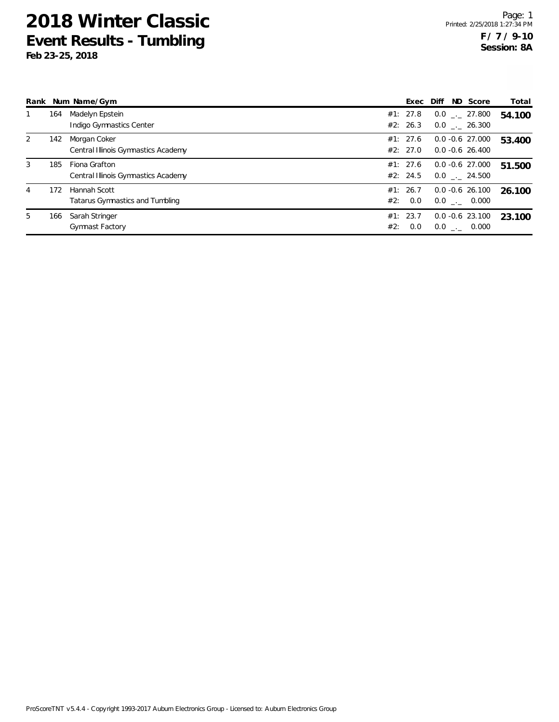|   |     | Rank Num Name/Gym                                    |     | Exec Diff            |  | ND Score                                 | Total  |
|---|-----|------------------------------------------------------|-----|----------------------|--|------------------------------------------|--------|
|   | 164 | Madelyn Epstein<br>Indigo Gymnastics Center          |     | #1: 27.8<br>#2: 26.3 |  | $0.0$ _._ 27.800<br>$0.0$ _. 26.300      | 54.100 |
| 2 | 142 | Morgan Coker<br>Central Illinois Gymnastics Academy  |     | #1: 27.6<br>#2: 27.0 |  | $0.0 - 0.6$ 27.000<br>$0.0 - 0.6$ 26.400 | 53.400 |
| 3 | 185 | Fiona Grafton<br>Central Illinois Gymnastics Academy |     | #1: 27.6<br>#2: 24.5 |  | $0.0 - 0.6$ 27.000<br>$0.0$ . 24.500     | 51.500 |
| 4 | 172 | Hannah Scott<br>Tatarus Gymnastics and Tumbling      |     | #1: 26.7<br>#2: 0.0  |  | $0.0 - 0.6$ 26.100<br>$0.0$ _._ 0.000    | 26.100 |
| 5 | 166 | Sarah Stringer<br><b>Gymnast Factory</b>             | #2: | #1: 23.7<br>0.0      |  | $0.0 - 0.6$ 23.100<br>$0.0$ _._ 0.000    | 23.100 |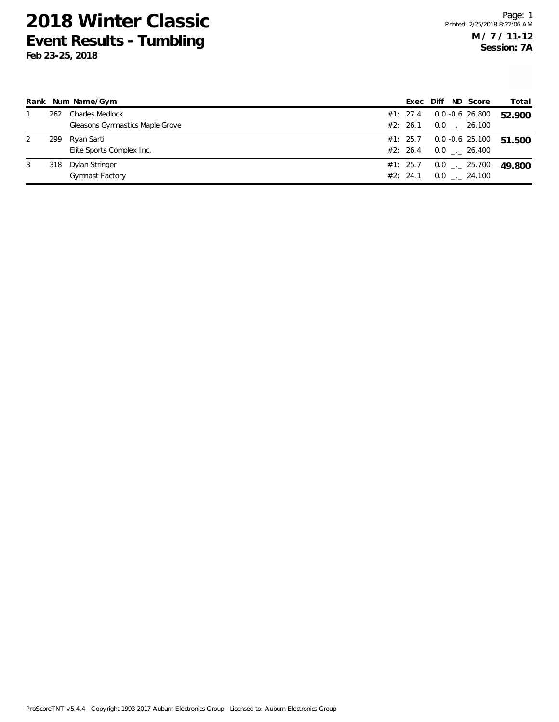|   |     | Rank Num Name/Gym               | Exec Diff |  | ND Score           | Total  |
|---|-----|---------------------------------|-----------|--|--------------------|--------|
|   | 262 | Charles Medlock                 | #1: 27.4  |  | 0.0 -0.6 26.800    | 52.900 |
|   |     | Gleasons Gymnastics Maple Grove | #2: 26.1  |  | $0.0$ _._ 26.100   |        |
| 2 | 299 | Ryan Sarti                      | #1: 25.7  |  | $0.0 - 0.6$ 25.100 | 51.500 |
|   |     | Elite Sports Complex Inc.       | #2: 26.4  |  | $0.0$ _._ 26.400   |        |
| 3 | 318 | Dylan Stringer                  | #1: 25.7  |  | $0.0$ _._ 25.700   | 49.800 |
|   |     | <b>Gymnast Factory</b>          | #2: 24.1  |  | $0.0$ _._ 24.100   |        |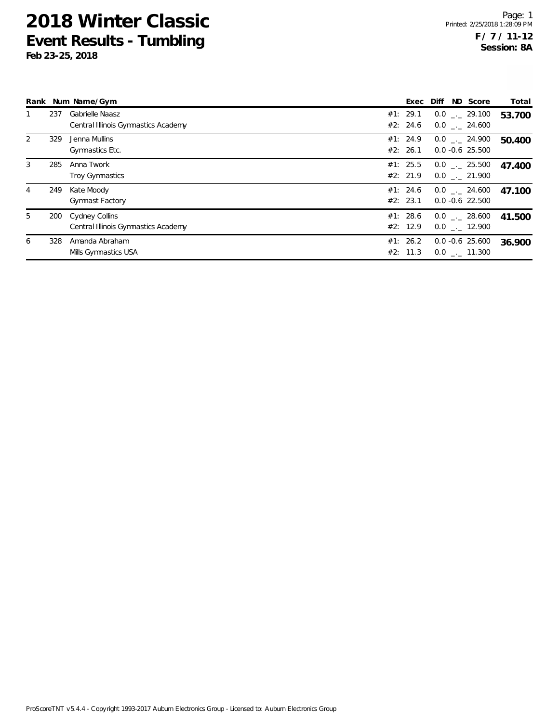|   |     | Rank Num Name/Gym                                      | Exec                 | ND Score<br>Diff                       | Total  |
|---|-----|--------------------------------------------------------|----------------------|----------------------------------------|--------|
|   | 237 | Gabrielle Naasz<br>Central Illinois Gymnastics Academy | #1: 29.1<br>#2: 24.6 | $0.0$ _._ 29.100<br>$0.0$ . 24.600     | 53.700 |
| 2 | 329 | Jenna Mullins<br>Gymnastics Etc.                       | #1: 24.9<br>#2: 26.1 | $0.0$ . 24.900<br>$0.0 - 0.6$ 25.500   | 50.400 |
| 3 | 285 | Anna Twork<br>Troy Gymnastics                          | #1: 25.5<br>#2: 21.9 | $0.0$ _._ 25.500<br>$0.0$ . 21.900     | 47.400 |
| 4 | 249 | Kate Moody<br><b>Gymnast Factory</b>                   | #1: 24.6<br>#2: 23.1 | $0.0$ _._ 24.600<br>$0.0 - 0.6$ 22.500 | 47.100 |
| 5 | 200 | Cydney Collins<br>Central Illinois Gymnastics Academy  | #1: 28.6<br>#2: 12.9 | $0.0$ _. 28.600<br>$0.0$ _. 12.900     | 41.500 |
| 6 | 328 | Amanda Abraham<br>Mills Gymnastics USA                 | #1: 26.2<br>#2: 11.3 | $0.0 - 0.6$ 25.600<br>$0.0$ . 11.300   | 36.900 |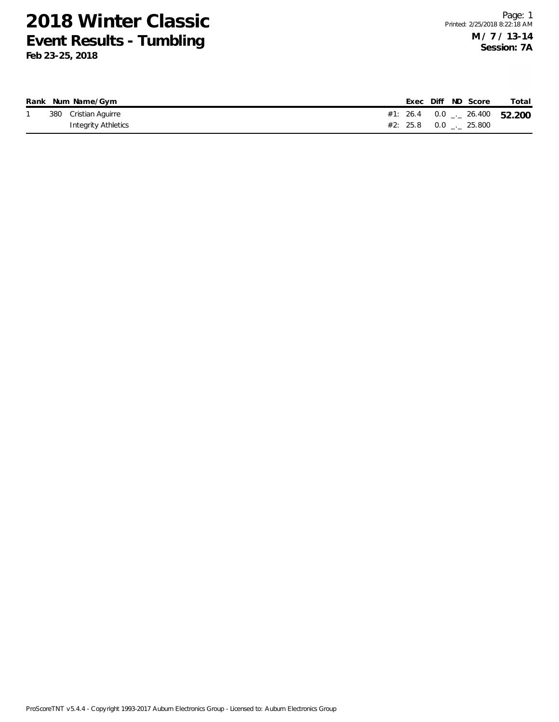|  | Rank Num Name/Gym    |  |  | Exec Diff ND Score            | Total                                 |
|--|----------------------|--|--|-------------------------------|---------------------------------------|
|  | 380 Cristian Aguirre |  |  |                               | #1: 26.4  0.0 $\ldots$ 26.400  52.200 |
|  | Integrity Athletics  |  |  | #2: 25.8 $0.0$ $_{-.}$ 25.800 |                                       |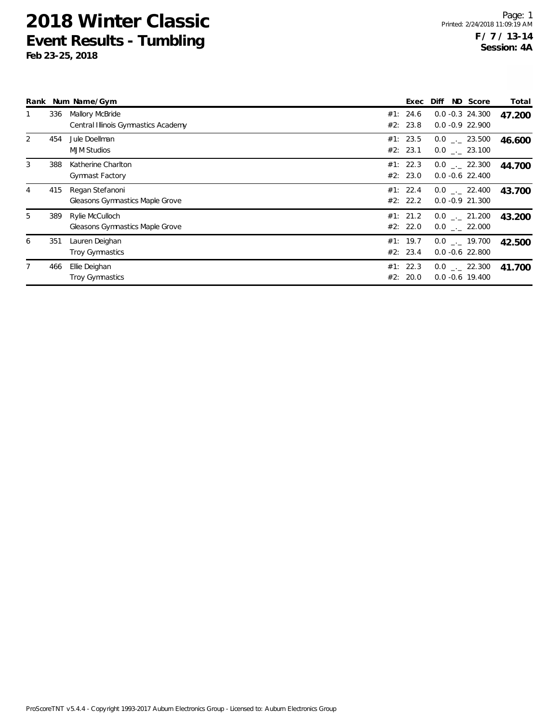| Rank |     | Num Name/Gym                                           | Exec                 | ND Score<br>Diff                          | Total  |
|------|-----|--------------------------------------------------------|----------------------|-------------------------------------------|--------|
|      | 336 | Mallory McBride<br>Central Illinois Gymnastics Academy | #1: 24.6<br>#2: 23.8 | $0.0 -0.3$ 24.300<br>$0.0 - 0.9$ 22.900   | 47.200 |
| 2    | 454 | Jule Doellman<br><b>MJM Studios</b>                    | #1: 23.5<br>#2: 23.1 | $0.0$ _._ 23.500<br>$0.0$ . 23.100        | 46.600 |
| 3    | 388 | Katherine Charlton<br>Gymnast Factory                  | #1: 22.3<br>#2: 23.0 | $0.0$ _._ 22.300<br>$0.0 - 0.6$ 22.400    | 44.700 |
| 4    | 415 | Regan Stefanoni<br>Gleasons Gymnastics Maple Grove     | #1: 22.4<br>#2: 22.2 | $0.0$ _._ 22.400<br>$0.0 - 0.9$ 21.300    | 43.700 |
| 5    | 389 | Rylie McCulloch<br>Gleasons Gymnastics Maple Grove     | #1: 21.2<br>#2: 22.0 | $0.0$ _._ 21.200<br>$0.0$ _._ 22.000      | 43.200 |
| 6    | 351 | Lauren Deighan<br><b>Troy Gymnastics</b>               | #1: 19.7<br>#2: 23.4 | $0.0$ _._ 19.700<br>$0.0 - 0.6$ 22.800    | 42.500 |
|      | 466 | Ellie Deighan<br><b>Troy Gymnastics</b>                | #1: 22.3<br>#2: 20.0 | $0.0$ $_{-}$ 22.300<br>$0.0 - 0.6$ 19.400 | 41.700 |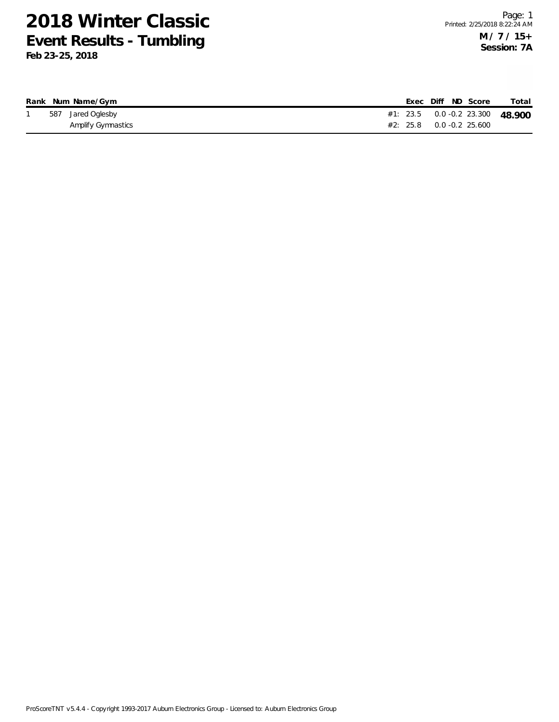|  | Rank Num Name/Gym  |  |  | Exec Diff ND Score                 | Total                               |
|--|--------------------|--|--|------------------------------------|-------------------------------------|
|  | 587 Jared Oglesby  |  |  |                                    | #1: 23.5  0.0  -0.2  23.300  48.900 |
|  | Amplify Gymnastics |  |  | $\#2: 25.8 \qquad 0.0 -0.2 25.600$ |                                     |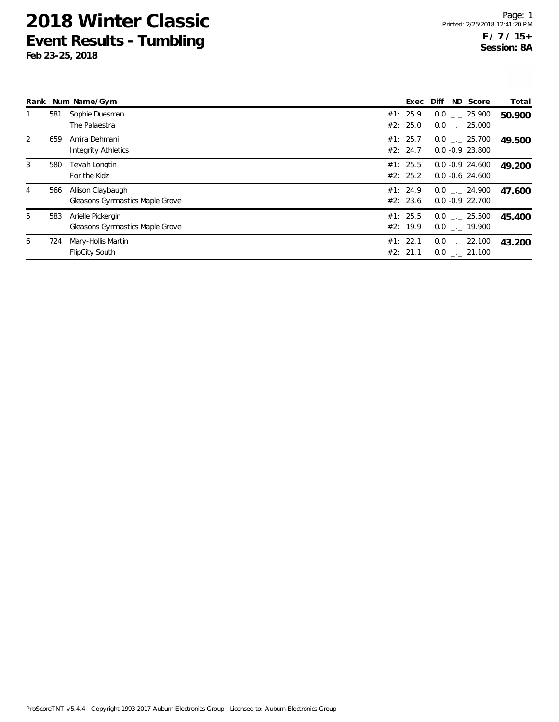|   |     | Rank Num Name/Gym                                    | Exec                 | Diff               | ND Score                                 | Total  |
|---|-----|------------------------------------------------------|----------------------|--------------------|------------------------------------------|--------|
|   | 581 | Sophie Duesman<br>The Palaestra                      | #1: 25.9<br>#2: 25.0 |                    | $0.0$ _._ 25.900<br>$0.0$ _._ 25.000     | 50.900 |
| 2 | 659 | Amira Dehmani<br><b>Integrity Athletics</b>          | #1: 25.7<br>#2: 24.7 |                    | $0.0$ . 25.700<br>$0.0 - 0.9$ 23.800     | 49.500 |
| 3 | 580 | Teyah Longtin<br>For the Kidz                        | #1: 25.5<br>#2: 25.2 |                    | $0.0 - 0.9$ 24.600<br>$0.0 - 0.6$ 24.600 | 49.200 |
| 4 | 566 | Allison Claybaugh<br>Gleasons Gymnastics Maple Grove | #1: 24.9<br>#2: 23.6 | $0.0 - 0.9$ 22.700 | $0.0$ _._ 24.900                         | 47.600 |
| 5 | 583 | Arielle Pickergin<br>Gleasons Gymnastics Maple Grove | #1: 25.5<br>#2: 19.9 |                    | $0.0$ _._ 25.500<br>$0.0$ _. 19.900      | 45.400 |
| 6 | 724 | Mary-Hollis Martin<br><b>FlipCity South</b>          | #1: 22.1<br>#2: 21.1 |                    | $0.0$ _._ 22.100<br>$0.0$ . 21.100       | 43.200 |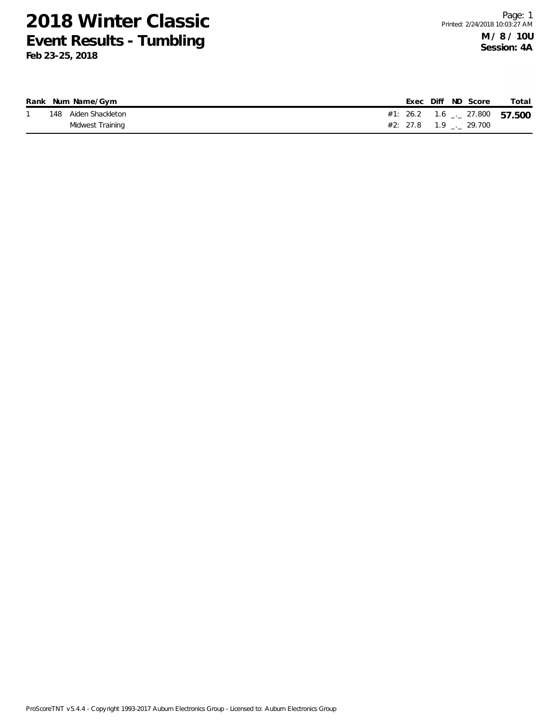|  | Rank Num Name/Gym    |  |  | Exec Diff ND Score             | Total                                      |
|--|----------------------|--|--|--------------------------------|--------------------------------------------|
|  | 148 Aiden Shackleton |  |  |                                | #1: 26.2  1.6 $\frac{1}{2}$ 27.800  57.500 |
|  | Midwest Training     |  |  | $#2: 27.8$ 1.9 $\ldots$ 29.700 |                                            |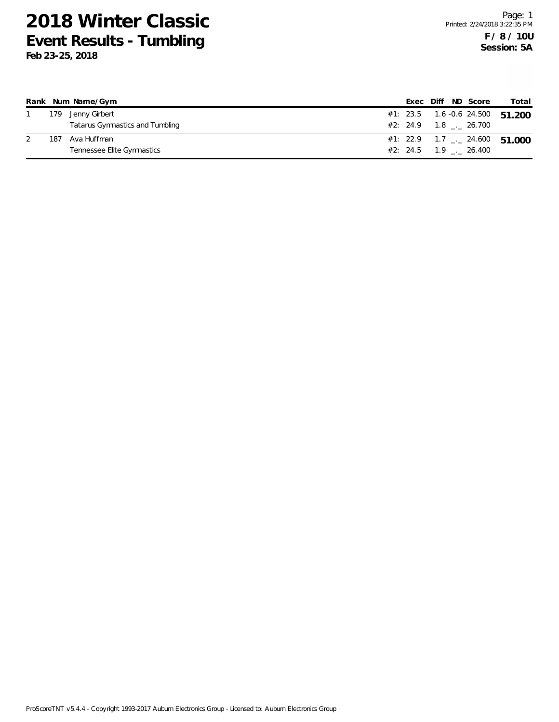|     | Rank Num Name/Gym               |  | Exec Diff ND Score                   |  | Total                                    |
|-----|---------------------------------|--|--------------------------------------|--|------------------------------------------|
| 179 | Jenny Girbert                   |  |                                      |  | #1: 23.5  1.6 -0.6  24.500  51.200       |
|     | Tatarus Gymnastics and Tumbling |  | #2: 24.9 1.8 . 26.700                |  |                                          |
| 187 | Ava Huffman                     |  |                                      |  | #1: 22.9 1.7 $\frac{1}{2}$ 24.600 51,000 |
|     | Tennessee Elite Gymnastics      |  | $\#2: 24.5 \qquad 1.9 \qquad 26.400$ |  |                                          |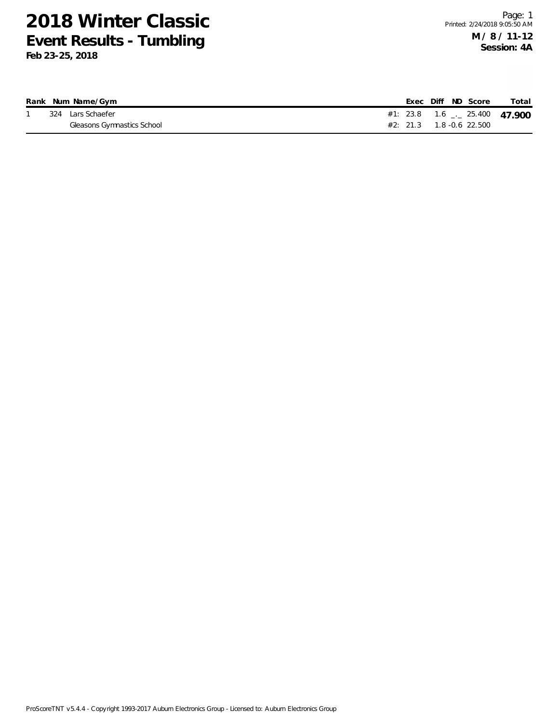|  | Rank Num Name/Gym          |  |  | Exec Diff ND Score           | Total                           |
|--|----------------------------|--|--|------------------------------|---------------------------------|
|  | 324 Lars Schaefer          |  |  |                              | #1: 23.8 $1.6$ $-25.400$ 47,900 |
|  | Gleasons Gymnastics School |  |  | $\#2$ : 21.3 1.8 -0.6 22.500 |                                 |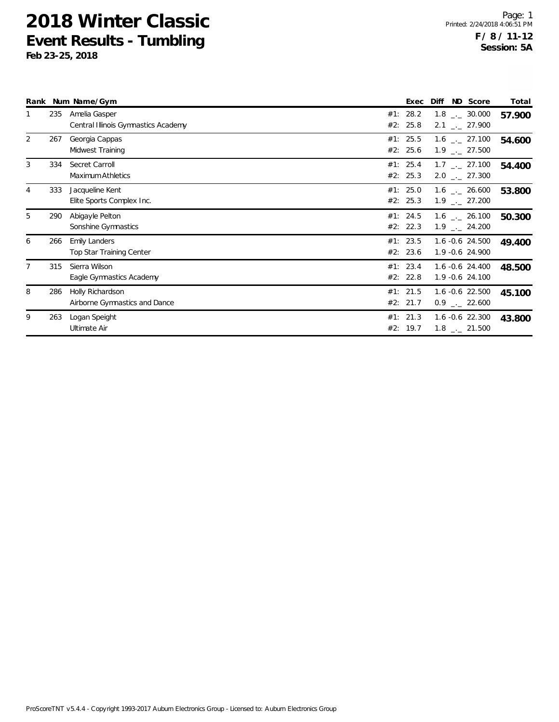|   |     | Rank Num Name/Gym                                       | Exec                 | Diff | ND Score                                                     | Total  |
|---|-----|---------------------------------------------------------|----------------------|------|--------------------------------------------------------------|--------|
|   | 235 | Amelia Gasper<br>Central Illinois Gymnastics Academy    | #1: 28.2<br>#2: 25.8 |      | $1.8$ $_{\sim}$ 30.000<br>$2.1$ $_{\leftarrow}$ 27.900       | 57.900 |
| 2 | 267 | Georgia Cappas<br>Midwest Training                      | #1: 25.5<br>#2: 25.6 |      | $1.6$ $_{\leftarrow}$ 27.100<br>$1.9$ $_{\leftarrow}$ 27.500 | 54.600 |
| 3 | 334 | Secret Carroll<br>Maximum Athletics                     | #1: 25.4<br>#2: 25.3 |      | $1.7$ $_{\sim}$ 27.100<br>$2.0$ $_{\leftarrow}$ 27.300       | 54.400 |
| 4 | 333 | Jacqueline Kent<br>Elite Sports Complex Inc.            | #1: 25.0<br>#2: 25.3 |      | $1.6$ $_{\sim}$ 26.600<br>$1.9$ $_{\leftarrow}$ 27.200       | 53.800 |
| 5 | 290 | Abigayle Pelton<br>Sonshine Gymnastics                  | #1: 24.5<br>#2: 22.3 |      | $1.6$ $_{\sim}$ 26.100<br>$1.9$ $_{\leftarrow}$ 24.200       | 50.300 |
| 6 | 266 | <b>Emily Landers</b><br><b>Top Star Training Center</b> | #1: 23.5<br>#2: 23.6 |      | 1.6 -0.6 24.500<br>1.9 -0.6 24.900                           | 49.400 |
|   | 315 | Sierra Wilson<br>Eagle Gymnastics Academy               | #1: 23.4<br>#2: 22.8 |      | $1.6 - 0.6$ 24.400<br>1.9 -0.6 24.100                        | 48.500 |
| 8 | 286 | Holly Richardson<br>Airborne Gymnastics and Dance       | #1: 21.5<br>#2: 21.7 |      | $1.6 - 0.6$ 22.500<br>$0.9$ $_{\leftarrow}$ 22.600           | 45.100 |
| 9 | 263 | Logan Speight<br>Ultimate Air                           | #1: 21.3<br>#2: 19.7 |      | $1.6 - 0.6$ 22.300<br>$1.8$ $_{\leftarrow}$ 21.500           | 43.800 |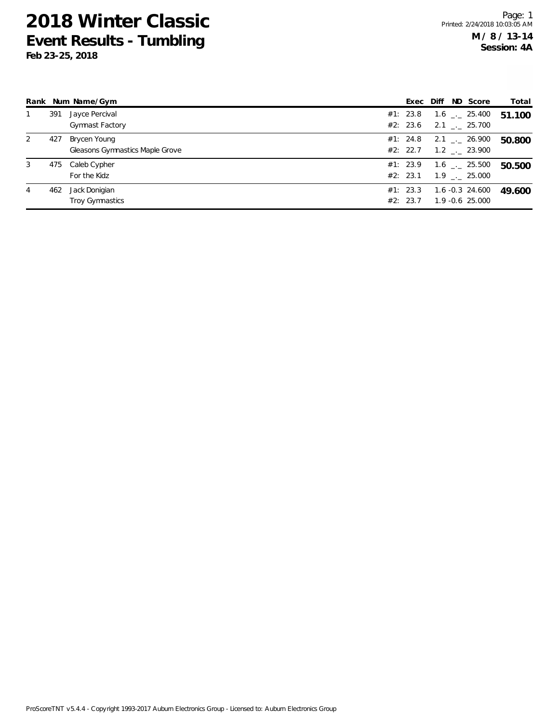|   |     | Rank Num Name/Gym                               | Exec Diff            | ND Score                                               | Total  |
|---|-----|-------------------------------------------------|----------------------|--------------------------------------------------------|--------|
|   | 391 | Jayce Percival<br><b>Gymnast Factory</b>        | #1: 23.8<br>#2: 23.6 | $1.6$ $_{\sim}$ 25.400<br>$2.1$ $_{-}$ 25.700          | 51.100 |
| 2 | 427 | Brycen Young<br>Gleasons Gymnastics Maple Grove | #1: 24.8<br>#2: 22.7 | $2.1$ $_{-}$ 26.900<br>$1.2$ $_{\leftarrow}$ 23.900    | 50.800 |
| 3 | 475 | Caleb Cypher<br>For the Kidz                    | #1: 23.9<br>#2: 23.1 | $1.6$ $_{\sim}$ 25.500<br>$1.9$ $_{\leftarrow}$ 25.000 | 50.500 |
| 4 | 462 | Jack Donigian<br>Troy Gymnastics                | #1: 23.3<br>#2: 23.7 | 1.6 -0.3 24.600<br>1.9 -0.6 25.000                     | 49.600 |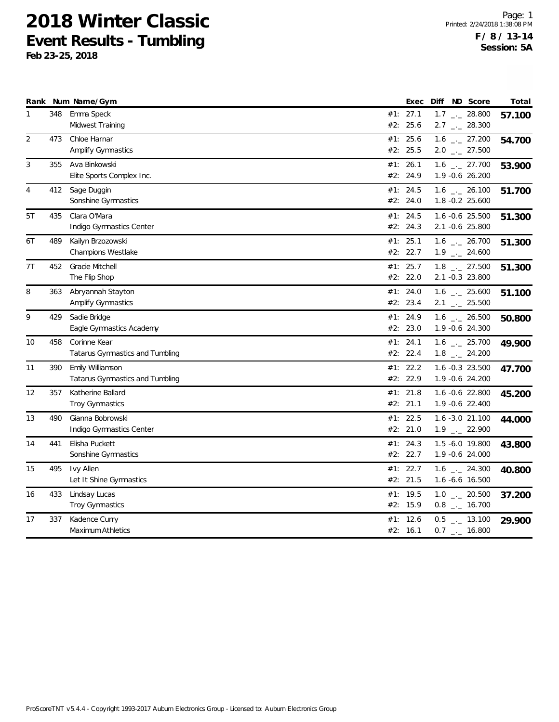|    |     | Rank Num Name/Gym               |     | Exec     | Diff ND Score                | Total  |
|----|-----|---------------------------------|-----|----------|------------------------------|--------|
| 1  | 348 | Emma Speck                      |     | #1: 27.1 | $1.7$ _ 28.800               | 57.100 |
|    |     | Midwest Training                | #2: | 25.6     | $2.7$ $_{\leftarrow}$ 28.300 |        |
| 2  | 473 | Chloe Harnar                    |     | #1: 25.6 | $1.6$ - 27.200               | 54.700 |
|    |     | <b>Amplify Gymnastics</b>       |     | #2: 25.5 | $2.0$ _ 27.500               |        |
| 3  | 355 | Ava Binkowski                   |     | #1: 26.1 | $1.6$ $_{-1}$ 27.700         | 53.900 |
|    |     | Elite Sports Complex Inc.       | #2: | 24.9     | 1.9 -0.6 26.200              |        |
| 4  | 412 | Sage Duggin                     | #1: | 24.5     | $1.6$ $_{\leftarrow}$ 26.100 | 51.700 |
|    |     | Sonshine Gymnastics             |     | #2: 24.0 | 1.8 -0.2 25.600              |        |
| 5T | 435 | Clara O'Mara                    |     | #1: 24.5 | 1.6 -0.6 25.500              | 51.300 |
|    |     | Indigo Gymnastics Center        |     | #2: 24.3 | 2.1 -0.6 25.800              |        |
| 6T | 489 | Kailyn Brzozowski               |     | #1: 25.1 | $1.6$ _ 26.700               | 51.300 |
|    |     | Champions Westlake              |     | #2: 22.7 | $1.9$ $_{\leftarrow}$ 24.600 |        |
| 7T | 452 | Gracie Mitchell                 |     | #1: 25.7 | $1.8$ $_{\leftarrow}$ 27.500 | 51.300 |
|    |     | The Flip Shop                   |     | #2: 22.0 | 2.1 -0.3 23.800              |        |
| 8  | 363 | Abryannah Stayton               |     | #1: 24.0 | $1.6$ $_{\leftarrow}$ 25.600 | 51.100 |
|    |     | <b>Amplify Gymnastics</b>       | #2: | 23.4     | $2.1$ $_{-1}$ 25.500         |        |
| 9  | 429 | Sadie Bridge                    |     | #1: 24.9 | $1.6$ _ 26.500               | 50.800 |
|    |     | Eagle Gymnastics Academy        |     | #2: 23.0 | 1.9 -0.6 24.300              |        |
| 10 | 458 | Corinne Kear                    | #1: | 24.1     | 1.6 $_{-}$ 25.700            | 49.900 |
|    |     | Tatarus Gymnastics and Tumbling |     | #2: 22.4 | $1.8$ $_{\leftarrow}$ 24.200 |        |
| 11 | 390 | Emily Williamson                | #1: | 22.2     | 1.6 -0.3 23.500              | 47.700 |
|    |     | Tatarus Gymnastics and Tumbling | #2: | 22.9     | 1.9 -0.6 24.200              |        |
| 12 | 357 | Katherine Ballard               |     | #1: 21.8 | 1.6 -0.6 22.800              | 45.200 |
|    |     | <b>Troy Gymnastics</b>          |     | #2: 21.1 | 1.9 -0.6 22.400              |        |
| 13 | 490 | Gianna Bobrowski                |     | #1: 22.5 | $1.6 - 3.0$ 21.100           | 44.000 |
|    |     | Indigo Gymnastics Center        |     | #2: 21.0 | $1.9$ $_{-}$ 22.900          |        |
| 14 | 441 | Elisha Puckett                  | #1: | 24.3     | 1.5 -6.0 19.800              | 43.800 |
|    |     | Sonshine Gymnastics             |     | #2: 22.7 | 1.9 -0.6 24.000              |        |
| 15 | 495 | <b>Ivy Allen</b>                |     | #1: 22.7 | $1.6$ _ 24.300               | 40.800 |
|    |     | Let It Shine Gymnastics         |     | #2: 21.5 | $1.6 - 6.6$ 16.500           |        |
| 16 | 433 | Lindsay Lucas                   |     | #1: 19.5 | $1.0$ $_{\leftarrow}$ 20.500 | 37.200 |
|    |     | Troy Gymnastics                 |     | #2: 15.9 | $0.8$ $_{\leftarrow}$ 16.700 |        |
| 17 | 337 | Kadence Curry                   | #1: | 12.6     | $0.5$ $_{-}$ 13.100          | 29.900 |
|    |     | Maximum Athletics               |     | #2: 16.1 | $0.7$ $_{-}$ 16.800          |        |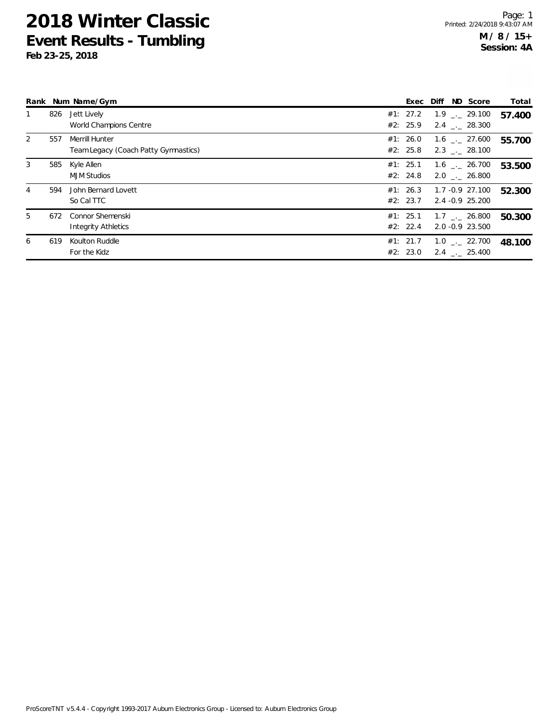|   |     | Rank Num Name/Gym                                      | Exec Diff            |  | ND Score                                     | Total  |
|---|-----|--------------------------------------------------------|----------------------|--|----------------------------------------------|--------|
|   | 826 | Jett Lively<br>World Champions Centre                  | #1: 27.2<br>#2: 25.9 |  | $1.9$ $_{\sim}$ 29.100<br>2.4 . 28.300       | 57.400 |
| 2 | 557 | Merrill Hunter<br>Team Legacy (Coach Patty Gymnastics) | #1: 26.0<br>#2: 25.8 |  | 1.6 . 27.600<br>2.3 . 28.100                 | 55.700 |
| 3 | 585 | Kyle Allen<br><b>MJM Studios</b>                       | #1: 25.1<br>#2: 24.8 |  | $1.6$ $_{-}$ 26.700<br>2.0 . 26.800          | 53.500 |
| 4 | 594 | John Bernard Lovett<br>So Cal TTC                      | #1: 26.3<br>#2: 23.7 |  | 1.7 -0.9 27.100<br>2.4 -0.9 25.200           | 52.300 |
| 5 | 672 | <b>Connor Shemenski</b><br><b>Integrity Athletics</b>  | #1: 25.1<br>#2: 22.4 |  | $1.7$ $_{-}$ 26.800<br>2.0 -0.9 23.500       | 50.300 |
| 6 | 619 | Koulton Ruddle<br>For the Kidz                         | #1: 21.7<br>#2: 23.0 |  | $1.0$ $_{\leftarrow}$ 22.700<br>2.4 . 25.400 | 48.100 |